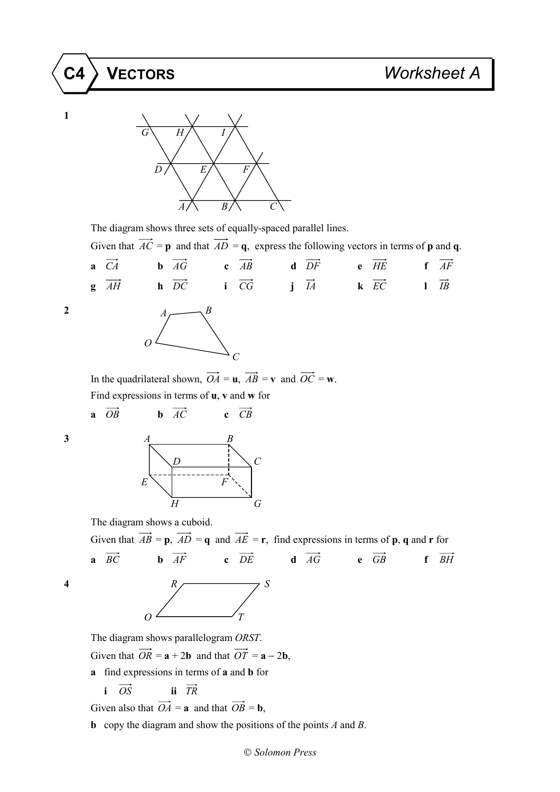## **C4 VECTORS** *Worksheet A*



The diagram shows three sets of equally-spaced parallel lines.

Given that  $\overrightarrow{AC} = \mathbf{p}$  and that  $\overrightarrow{AD} = \mathbf{q}$ , express the following vectors in terms of **p** and **q**.

|  |  |  | <b>a</b> $\overrightarrow{CA}$ <b>b</b> $\overrightarrow{AG}$ <b>c</b> $\overrightarrow{AB}$ <b>d</b> $\overrightarrow{DF}$ <b>e</b> $\overrightarrow{HE}$ <b>f</b> $\overrightarrow{AF}$ |  |  |
|--|--|--|-------------------------------------------------------------------------------------------------------------------------------------------------------------------------------------------|--|--|
|  |  |  | <b>g</b> $\overrightarrow{AH}$ <b>h</b> $\overrightarrow{DC}$ <b>i</b> $\overrightarrow{CG}$ <b>j</b> $\overrightarrow{IA}$ <b>k</b> $\overrightarrow{EC}$ <b>l</b> $\overrightarrow{IB}$ |  |  |

**1**



In the quadrilateral shown,  $\overrightarrow{OA} = \mathbf{u}$ ,  $\overrightarrow{AB} = \mathbf{v}$  and  $\overrightarrow{OC} = \mathbf{w}$ . Find expressions in terms of **u**, **v** and **w** for

**a**  $\overrightarrow{OB}$  **b**  $\overrightarrow{AC}$  **c**  $\overrightarrow{CB}$ 



The diagram shows a cuboid.

Given that  $\overrightarrow{AB} = \mathbf{p}$ ,  $\overrightarrow{AD} = \mathbf{q}$  and  $\overrightarrow{AE} = \mathbf{r}$ , find expressions in terms of **p**, **q** and **r** for **a**  $\overrightarrow{BC}$  **b**  $\overrightarrow{AF}$  **c**  $\overrightarrow{DE}$  **d**  $\overrightarrow{AG}$  **e**  $\overrightarrow{GB}$  **f**  $\overrightarrow{BH}$ 

$$
\begin{array}{c|c}\n & R \\
& \nearrow \\
& \nearrow \\
& \nearrow\n\end{array}
$$

The diagram shows parallelogram *ORST*.

Given that  $\overrightarrow{OR} = \mathbf{a} + 2\mathbf{b}$  and that  $\overrightarrow{OT} = \mathbf{a} - 2\mathbf{b}$ ,

**a** find expressions in terms of **a** and **b** for

**i**  $\overrightarrow{OS}$  **ii**  $\overrightarrow{TR}$ 

Given also that  $\overrightarrow{OA} = \mathbf{a}$  and that  $\overrightarrow{OB} = \mathbf{b}$ ,

**b** copy the diagram and show the positions of the points *A* and *B*.